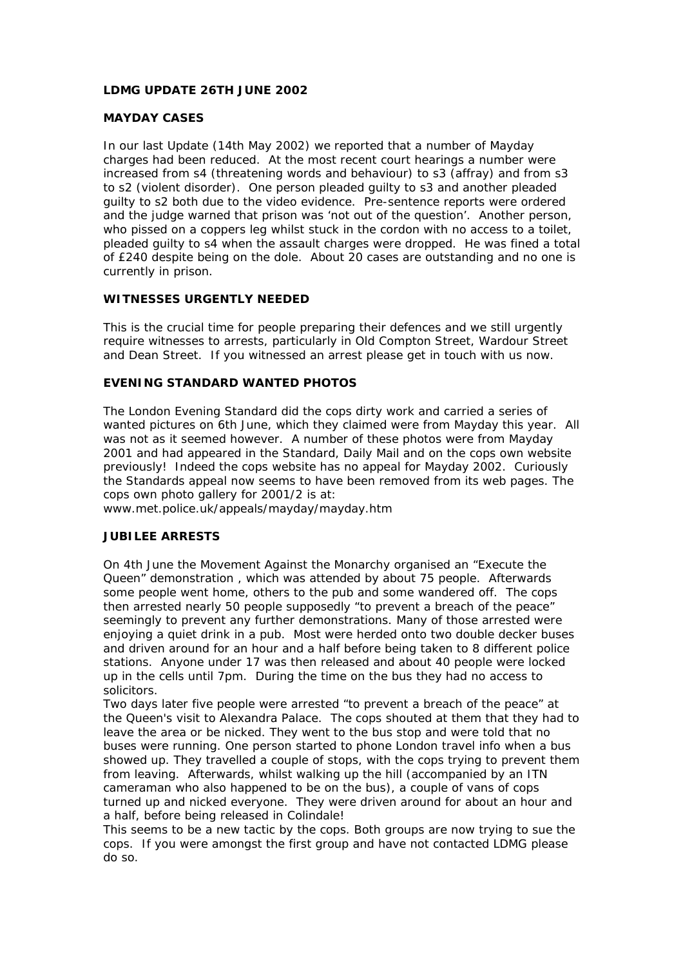# **LDMG UPDATE 26TH JUNE 2002**

## **MAYDAY CASES**

In our last Update (14th May 2002) we reported that a number of Mayday charges had been reduced. At the most recent court hearings a number were increased from s4 (threatening words and behaviour) to s3 (affray) and from s3 to s2 (violent disorder). One person pleaded guilty to s3 and another pleaded guilty to s2 both due to the video evidence. Pre-sentence reports were ordered and the judge warned that prison was 'not out of the question'. Another person, who pissed on a coppers leg whilst stuck in the cordon with no access to a toilet, pleaded guilty to s4 when the assault charges were dropped. He was fined a total of £240 despite being on the dole. About 20 cases are outstanding and no one is currently in prison.

## **WITNESSES URGENTLY NEEDED**

This is the crucial time for people preparing their defences and we still urgently require witnesses to arrests, particularly in Old Compton Street, Wardour Street and Dean Street. If you witnessed an arrest please get in touch with us now.

#### **EVENING STANDARD WANTED PHOTOS**

The London Evening Standard did the cops dirty work and carried a series of wanted pictures on 6th June, which they claimed were from Mayday this year. All was not as it seemed however. A number of these photos were from Mayday 2001 and had appeared in the Standard, Daily Mail and on the cops own website previously! Indeed the cops website has no appeal for Mayday 2002. Curiously the Standards appeal now seems to have been removed from its web pages. The cops own photo gallery for 2001/2 is at:

www.met.police.uk/appeals/mayday/mayday.htm

## **JUBILEE ARRESTS**

On 4th June the Movement Against the Monarchy organised an "Execute the Queen" demonstration , which was attended by about 75 people. Afterwards some people went home, others to the pub and some wandered off. The cops then arrested nearly 50 people supposedly "to prevent a breach of the peace" seemingly to prevent any further demonstrations. Many of those arrested were enjoying a quiet drink in a pub. Most were herded onto two double decker buses and driven around for an hour and a half before being taken to 8 different police stations. Anyone under 17 was then released and about 40 people were locked up in the cells until 7pm. During the time on the bus they had no access to solicitors.

Two days later five people were arrested "to prevent a breach of the peace" at the Queen's visit to Alexandra Palace. The cops shouted at them that they had to leave the area or be nicked. They went to the bus stop and were told that no buses were running. One person started to phone London travel info when a bus showed up. They travelled a couple of stops, with the cops trying to prevent them from leaving. Afterwards, whilst walking up the hill (accompanied by an ITN cameraman who also happened to be on the bus), a couple of vans of cops turned up and nicked everyone. They were driven around for about an hour and a half, before being released in Colindale!

This seems to be a new tactic by the cops. Both groups are now trying to sue the cops. If you were amongst the first group and have not contacted LDMG please do so.